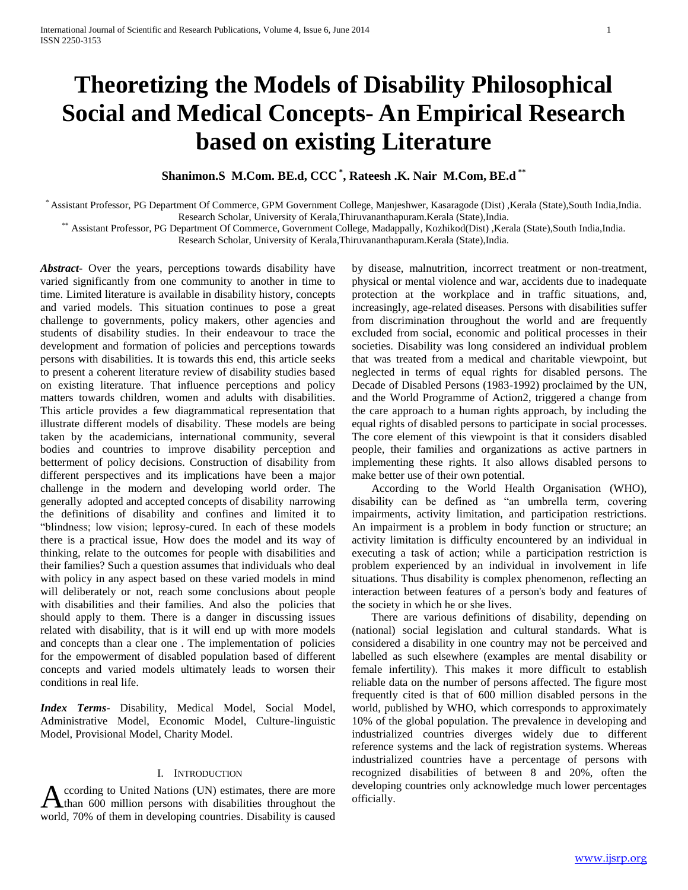# **Theoretizing the Models of Disability Philosophical Social and Medical Concepts- An Empirical Research based on existing Literature**

**Shanimon.S M.Com. BE.d, CCC \* , Rateesh .K. Nair M.Com, BE.d \*\***

\* Assistant Professor, PG Department Of Commerce, GPM Government College, Manjeshwer, Kasaragode (Dist) ,Kerala (State),South India,India.

Research Scholar, University of Kerala,Thiruvananthapuram.Kerala (State),India.

\*\* Assistant Professor, PG Department Of Commerce, Government College, Madappally, Kozhikod(Dist) ,Kerala (State),South India,India.

Research Scholar, University of Kerala,Thiruvananthapuram.Kerala (State),India.

*Abstract***-** Over the years, perceptions towards disability have varied significantly from one community to another in time to time. Limited literature is available in disability history, concepts and varied models. This situation continues to pose a great challenge to governments, policy makers, other agencies and students of disability studies. In their endeavour to trace the development and formation of policies and perceptions towards persons with disabilities. It is towards this end, this article seeks to present a coherent literature review of disability studies based on existing literature. That influence perceptions and policy matters towards children, women and adults with disabilities. This article provides a few diagrammatical representation that illustrate different models of disability. These models are being taken by the academicians, international community, several bodies and countries to improve disability perception and betterment of policy decisions. Construction of disability from different perspectives and its implications have been a major challenge in the modern and developing world order. The generally adopted and accepted concepts of disability narrowing the definitions of disability and confines and limited it to "blindness; low vision; leprosy-cured. In each of these models there is a practical issue, How does the model and its way of thinking, relate to the outcomes for people with disabilities and their families? Such a question assumes that individuals who deal with policy in any aspect based on these varied models in mind will deliberately or not, reach some conclusions about people with disabilities and their families. And also the policies that should apply to them. There is a danger in discussing issues related with disability, that is it will end up with more models and concepts than a clear one . The implementation of policies for the empowerment of disabled population based of different concepts and varied models ultimately leads to worsen their conditions in real life.

*Index Terms*- Disability, Medical Model, Social Model, Administrative Model, Economic Model, Culture-linguistic Model, Provisional Model, Charity Model.

# I. INTRODUCTION

ccording to United Nations (UN) estimates, there are more A ccording to United Nations (UN) estimates, there are more developing countries only acknowledge much lower percentages officially. world, 70% of them in developing countries. Disability is caused

by disease, malnutrition, incorrect treatment or non-treatment, physical or mental violence and war, accidents due to inadequate protection at the workplace and in traffic situations, and, increasingly, age-related diseases. Persons with disabilities suffer from discrimination throughout the world and are frequently excluded from social, economic and political processes in their societies. Disability was long considered an individual problem that was treated from a medical and charitable viewpoint, but neglected in terms of equal rights for disabled persons. The Decade of Disabled Persons (1983-1992) proclaimed by the UN, and the World Programme of Action2, triggered a change from the care approach to a human rights approach, by including the equal rights of disabled persons to participate in social processes. The core element of this viewpoint is that it considers disabled people, their families and organizations as active partners in implementing these rights. It also allows disabled persons to make better use of their own potential.

 According to the World Health Organisation (WHO), disability can be defined as "an umbrella term, covering impairments, activity limitation, and participation restrictions. An impairment is a problem in body function or structure; an activity limitation is difficulty encountered by an individual in executing a task of action; while a participation restriction is problem experienced by an individual in involvement in life situations. Thus disability is complex phenomenon, reflecting an interaction between features of a person's body and features of the society in which he or she lives.

 There are various definitions of disability, depending on (national) social legislation and cultural standards. What is considered a disability in one country may not be perceived and labelled as such elsewhere (examples are mental disability or female infertility). This makes it more difficult to establish reliable data on the number of persons affected. The figure most frequently cited is that of 600 million disabled persons in the world, published by WHO, which corresponds to approximately 10% of the global population. The prevalence in developing and industrialized countries diverges widely due to different reference systems and the lack of registration systems. Whereas industrialized countries have a percentage of persons with recognized disabilities of between 8 and 20%, often the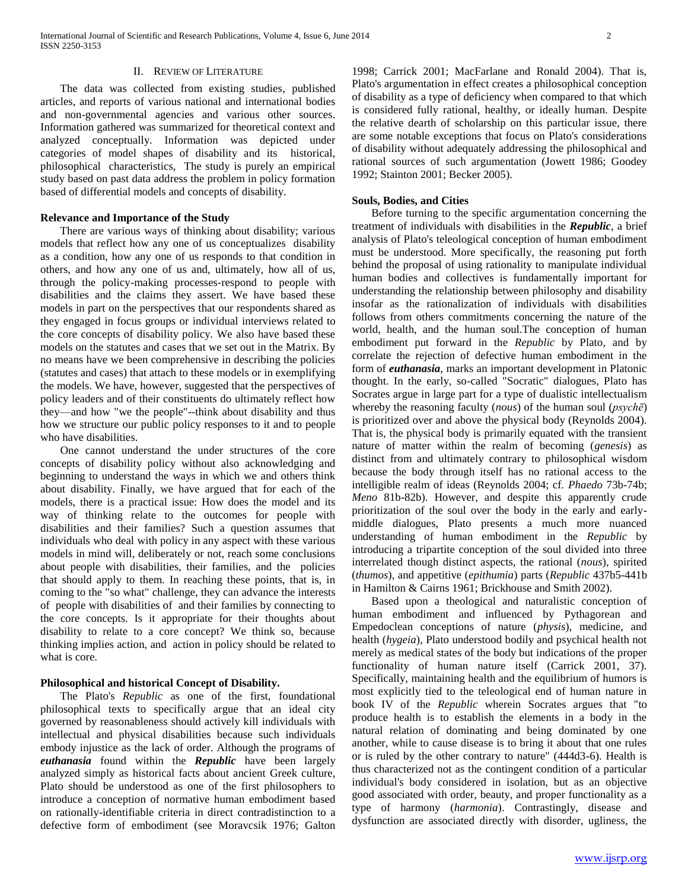International Journal of Scientific and Research Publications, Volume 4, Issue 6, June 2014 2 ISSN 2250-3153

## II. REVIEW OF LITERATURE

 The data was collected from existing studies, published articles, and reports of various national and international bodies and non-governmental agencies and various other sources. Information gathered was summarized for theoretical context and analyzed conceptually. Information was depicted under categories of model shapes of disability and its historical, philosophical characteristics, The study is purely an empirical study based on past data address the problem in policy formation based of differential models and concepts of disability.

## **Relevance and Importance of the Study**

 There are various ways of thinking about disability; various models that reflect how any one of us conceptualizes disability as a condition, how any one of us responds to that condition in others, and how any one of us and, ultimately, how all of us, through the policy-making processes-respond to people with disabilities and the claims they assert. We have based these models in part on the perspectives that our respondents shared as they engaged in focus groups or individual interviews related to the core concepts of disability policy. We also have based these models on the statutes and cases that we set out in the Matrix. By no means have we been comprehensive in describing the policies (statutes and cases) that attach to these models or in exemplifying the models. We have, however, suggested that the perspectives of policy leaders and of their constituents do ultimately reflect how they—and how "we the people"--think about disability and thus how we structure our public policy responses to it and to people who have disabilities.

 One cannot understand the under structures of the core concepts of disability policy without also acknowledging and beginning to understand the ways in which we and others think about disability. Finally, we have argued that for each of the models, there is a practical issue: How does the model and its way of thinking relate to the outcomes for people with disabilities and their families? Such a question assumes that individuals who deal with policy in any aspect with these various models in mind will, deliberately or not, reach some conclusions about people with disabilities, their families, and the policies that should apply to them. In reaching these points, that is, in coming to the "so what" challenge, they can advance the interests of people with disabilities of and their families by connecting to the core concepts. Is it appropriate for their thoughts about disability to relate to a core concept? We think so, because thinking implies action, and action in policy should be related to what is core.

## **Philosophical and historical Concept of Disability.**

 The Plato's *Republic* as one of the first, foundational philosophical texts to specifically argue that an ideal city governed by reasonableness should actively kill individuals with intellectual and physical disabilities because such individuals embody injustice as the lack of order. Although the programs of *euthanasia* found within the *Republic* have been largely analyzed simply as historical facts about ancient Greek culture, Plato should be understood as one of the first philosophers to introduce a conception of normative human embodiment based on rationally-identifiable criteria in direct contradistinction to a defective form of embodiment (see Moravcsik 1976; Galton

1998; Carrick 2001; MacFarlane and Ronald 2004). That is, Plato's argumentation in effect creates a philosophical conception of disability as a type of deficiency when compared to that which is considered fully rational, healthy, or ideally human. Despite the relative dearth of scholarship on this particular issue, there are some notable exceptions that focus on Plato's considerations of disability without adequately addressing the philosophical and rational sources of such argumentation (Jowett 1986; Goodey 1992; Stainton 2001; Becker 2005).

## **Souls, Bodies, and Cities**

 Before turning to the specific argumentation concerning the treatment of individuals with disabilities in the *Republic*, a brief analysis of Plato's teleological conception of human embodiment must be understood. More specifically, the reasoning put forth behind the proposal of using rationality to manipulate individual human bodies and collectives is fundamentally important for understanding the relationship between philosophy and disability insofar as the rationalization of individuals with disabilities follows from others commitments concerning the nature of the world, health, and the human soul.The conception of human embodiment put forward in the *Republic* by Plato*,* and by correlate the rejection of defective human embodiment in the form of *euthanasia*, marks an important development in Platonic thought. In the early, so-called "Socratic" dialogues, Plato has Socrates argue in large part for a type of dualistic intellectualism whereby the reasoning faculty (*nous*) of the human soul (*psychē*) is prioritized over and above the physical body (Reynolds 2004). That is, the physical body is primarily equated with the transient nature of matter within the realm of becoming (*genesis*) as distinct from and ultimately contrary to philosophical wisdom because the body through itself has no rational access to the intelligible realm of ideas (Reynolds 2004; cf. *Phaedo* 73b-74b; *Meno* 81b-82b). However, and despite this apparently crude prioritization of the soul over the body in the early and earlymiddle dialogues, Plato presents a much more nuanced understanding of human embodiment in the *Republic* by introducing a tripartite conception of the soul divided into three interrelated though distinct aspects, the rational (*nous*), spirited (*thumos*), and appetitive (*epithumia*) parts (*Republic* 437b5-441b in Hamilton & Cairns 1961; Brickhouse and Smith 2002).

 Based upon a theological and naturalistic conception of human embodiment and influenced by Pythagorean and Empedoclean conceptions of nature (*physis*), medicine, and health (*hygeia*), Plato understood bodily and psychical health not merely as medical states of the body but indications of the proper functionality of human nature itself (Carrick 2001, 37). Specifically, maintaining health and the equilibrium of humors is most explicitly tied to the teleological end of human nature in book IV of the *Republic* wherein Socrates argues that "to produce health is to establish the elements in a body in the natural relation of dominating and being dominated by one another, while to cause disease is to bring it about that one rules or is ruled by the other contrary to nature" (444d3-6). Health is thus characterized not as the contingent condition of a particular individual's body considered in isolation, but as an objective good associated with order, beauty, and proper functionality as a type of harmony (*harmonia*). Contrastingly, disease and dysfunction are associated directly with disorder, ugliness, the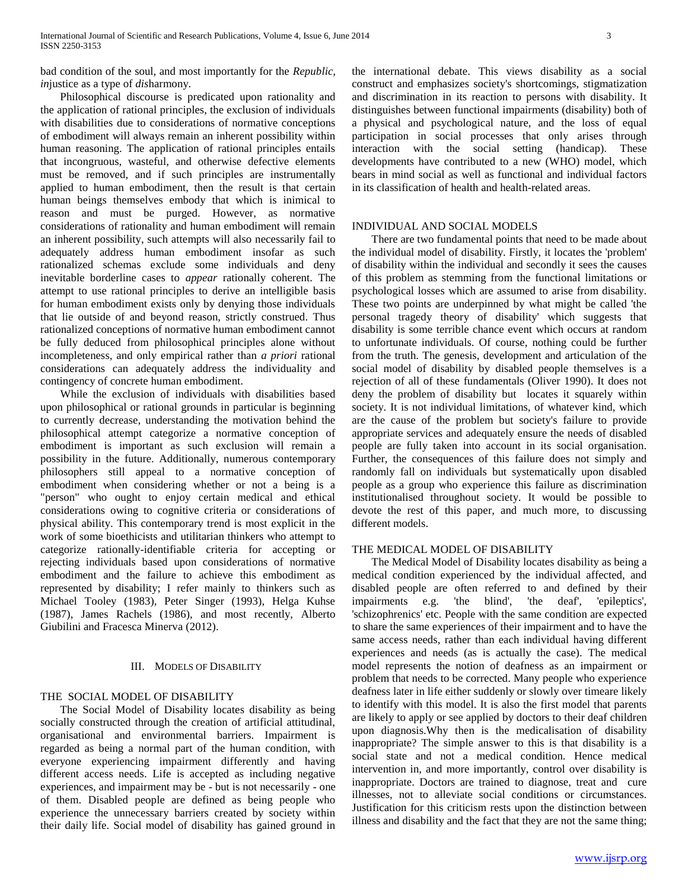bad condition of the soul, and most importantly for the *Republic, in*justice as a type of *dis*harmony.

 Philosophical discourse is predicated upon rationality and the application of rational principles, the exclusion of individuals with disabilities due to considerations of normative conceptions of embodiment will always remain an inherent possibility within human reasoning. The application of rational principles entails that incongruous, wasteful, and otherwise defective elements must be removed, and if such principles are instrumentally applied to human embodiment, then the result is that certain human beings themselves embody that which is inimical to reason and must be purged. However, as normative considerations of rationality and human embodiment will remain an inherent possibility, such attempts will also necessarily fail to adequately address human embodiment insofar as such rationalized schemas exclude some individuals and deny inevitable borderline cases to *appear* rationally coherent. The attempt to use rational principles to derive an intelligible basis for human embodiment exists only by denying those individuals that lie outside of and beyond reason, strictly construed. Thus rationalized conceptions of normative human embodiment cannot be fully deduced from philosophical principles alone without incompleteness, and only empirical rather than *a priori* rational considerations can adequately address the individuality and contingency of concrete human embodiment.

 While the exclusion of individuals with disabilities based upon philosophical or rational grounds in particular is beginning to currently decrease, understanding the motivation behind the philosophical attempt categorize a normative conception of embodiment is important as such exclusion will remain a possibility in the future. Additionally, numerous contemporary philosophers still appeal to a normative conception of embodiment when considering whether or not a being is a "person" who ought to enjoy certain medical and ethical considerations owing to cognitive criteria or considerations of physical ability. This contemporary trend is most explicit in the work of some bioethicists and utilitarian thinkers who attempt to categorize rationally-identifiable criteria for accepting or rejecting individuals based upon considerations of normative embodiment and the failure to achieve this embodiment as represented by disability; I refer mainly to thinkers such as Michael Tooley (1983), Peter Singer (1993), Helga Kuhse (1987), James Rachels (1986), and most recently, Alberto Giubilini and Fracesca Minerva (2012).

## III. MODELS OF DISABILITY

## THE SOCIAL MODEL OF DISABILITY

 The Social Model of Disability locates disability as being socially constructed through the creation of artificial attitudinal, organisational and environmental barriers. Impairment is regarded as being a normal part of the human condition, with everyone experiencing impairment differently and having different access needs. Life is accepted as including negative experiences, and impairment may be - but is not necessarily - one of them. Disabled people are defined as being people who experience the unnecessary barriers created by society within their daily life. Social model of disability has gained ground in the international debate. This views disability as a social construct and emphasizes society's shortcomings, stigmatization and discrimination in its reaction to persons with disability. It distinguishes between functional impairments (disability) both of a physical and psychological nature, and the loss of equal participation in social processes that only arises through interaction with the social setting (handicap). These developments have contributed to a new (WHO) model, which bears in mind social as well as functional and individual factors in its classification of health and health-related areas.

#### INDIVIDUAL AND SOCIAL MODELS

 There are two fundamental points that need to be made about the individual model of disability. Firstly, it locates the 'problem' of disability within the individual and secondly it sees the causes of this problem as stemming from the functional limitations or psychological losses which are assumed to arise from disability. These two points are underpinned by what might be called 'the personal tragedy theory of disability' which suggests that disability is some terrible chance event which occurs at random to unfortunate individuals. Of course, nothing could be further from the truth. The genesis, development and articulation of the social model of disability by disabled people themselves is a rejection of all of these fundamentals (Oliver 1990). It does not deny the problem of disability but locates it squarely within society. It is not individual limitations, of whatever kind, which are the cause of the problem but society's failure to provide appropriate services and adequately ensure the needs of disabled people are fully taken into account in its social organisation. Further, the consequences of this failure does not simply and randomly fall on individuals but systematically upon disabled people as a group who experience this failure as discrimination institutionalised throughout society. It would be possible to devote the rest of this paper, and much more, to discussing different models.

# THE MEDICAL MODEL OF DISABILITY

 The Medical Model of Disability locates disability as being a medical condition experienced by the individual affected, and disabled people are often referred to and defined by their impairments e.g. 'the blind', 'the deaf', 'epileptics', 'schizophrenics' etc. People with the same condition are expected to share the same experiences of their impairment and to have the same access needs, rather than each individual having different experiences and needs (as is actually the case). The medical model represents the notion of deafness as an impairment or problem that needs to be corrected. Many people who experience deafness later in life either suddenly or slowly over timeare likely to identify with this model. It is also the first model that parents are likely to apply or see applied by doctors to their deaf children upon diagnosis.Why then is the medicalisation of disability inappropriate? The simple answer to this is that disability is a social state and not a medical condition. Hence medical intervention in, and more importantly, control over disability is inappropriate. Doctors are trained to diagnose, treat and cure illnesses, not to alleviate social conditions or circumstances. Justification for this criticism rests upon the distinction between illness and disability and the fact that they are not the same thing;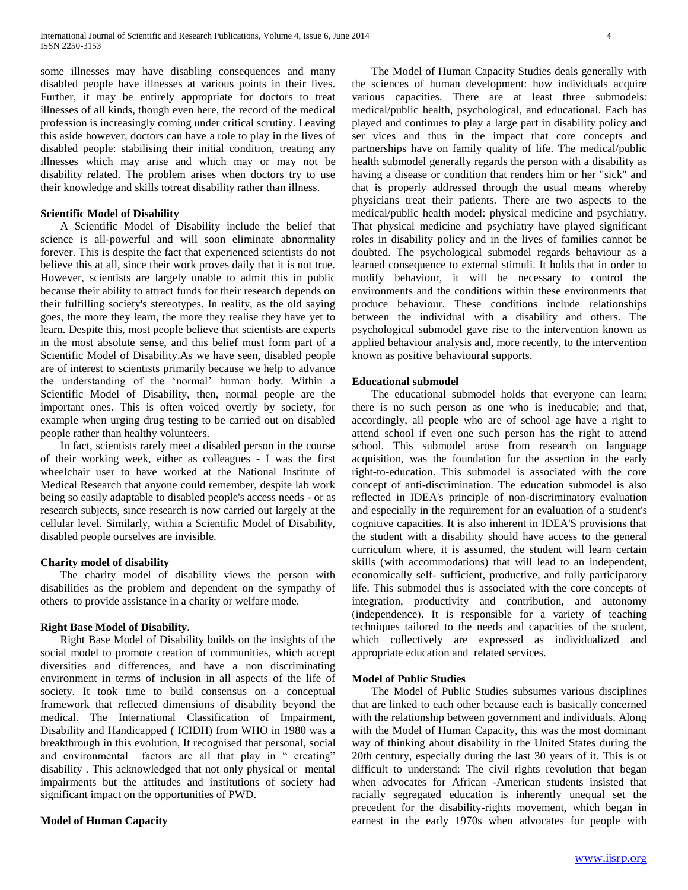some illnesses may have disabling consequences and many disabled people have illnesses at various points in their lives. Further, it may be entirely appropriate for doctors to treat illnesses of all kinds, though even here, the record of the medical profession is increasingly coming under critical scrutiny. Leaving this aside however, doctors can have a role to play in the lives of disabled people: stabilising their initial condition, treating any illnesses which may arise and which may or may not be disability related. The problem arises when doctors try to use their knowledge and skills totreat disability rather than illness.

## **Scientific Model of Disability**

 A Scientific Model of Disability include the belief that science is all-powerful and will soon eliminate abnormality forever. This is despite the fact that experienced scientists do not believe this at all, since their work proves daily that it is not true. However, scientists are largely unable to admit this in public because their ability to attract funds for their research depends on their fulfilling society's stereotypes. In reality, as the old saying goes, the more they learn, the more they realise they have yet to learn. Despite this, most people believe that scientists are experts in the most absolute sense, and this belief must form part of a Scientific Model of Disability.As we have seen, disabled people are of interest to scientists primarily because we help to advance the understanding of the 'normal' human body. Within a Scientific Model of Disability, then, normal people are the important ones. This is often voiced overtly by society, for example when urging drug testing to be carried out on disabled people rather than healthy volunteers.

 In fact, scientists rarely meet a disabled person in the course of their working week, either as colleagues - I was the first wheelchair user to have worked at the National Institute of Medical Research that anyone could remember, despite lab work being so easily adaptable to disabled people's access needs - or as research subjects, since research is now carried out largely at the cellular level. Similarly, within a Scientific Model of Disability, disabled people ourselves are invisible.

#### **Charity model of disability**

 The charity model of disability views the person with disabilities as the problem and dependent on the sympathy of others to provide assistance in a charity or welfare mode.

## **Right Base Model of Disability.**

 Right Base Model of Disability builds on the insights of the social model to promote creation of communities, which accept diversities and differences, and have a non discriminating environment in terms of inclusion in all aspects of the life of society. It took time to build consensus on a conceptual framework that reflected dimensions of disability beyond the medical. The International Classification of Impairment, Disability and Handicapped ( ICIDH) from WHO in 1980 was a breakthrough in this evolution, It recognised that personal, social and environmental factors are all that play in " creating" disability . This acknowledged that not only physical or mental impairments but the attitudes and institutions of society had significant impact on the opportunities of PWD.

#### **Model of Human Capacity**

 The Model of Human Capacity Studies deals generally with the sciences of human development: how individuals acquire various capacities. There are at least three submodels: medical/public health, psychological, and educational. Each has played and continues to play a large part in disability policy and ser vices and thus in the impact that core concepts and partnerships have on family quality of life. The medical/public health submodel generally regards the person with a disability as having a disease or condition that renders him or her "sick" and that is properly addressed through the usual means whereby physicians treat their patients. There are two aspects to the medical/public health model: physical medicine and psychiatry. That physical medicine and psychiatry have played significant roles in disability policy and in the lives of families cannot be doubted. The psychological submodel regards behaviour as a learned consequence to external stimuli. It holds that in order to modify behaviour, it will be necessary to control the environments and the conditions within these environments that produce behaviour. These conditions include relationships between the individual with a disability and others. The psychological submodel gave rise to the intervention known as applied behaviour analysis and, more recently, to the intervention known as positive behavioural supports.

#### **Educational submodel**

 The educational submodel holds that everyone can learn; there is no such person as one who is ineducable; and that, accordingly, all people who are of school age have a right to attend school if even one such person has the right to attend school. This submodel arose from research on language acquisition, was the foundation for the assertion in the early right-to-education. This submodel is associated with the core concept of anti-discrimination. The education submodel is also reflected in IDEA's principle of non-discriminatory evaluation and especially in the requirement for an evaluation of a student's cognitive capacities. It is also inherent in IDEA'S provisions that the student with a disability should have access to the general curriculum where, it is assumed, the student will learn certain skills (with accommodations) that will lead to an independent, economically self- sufficient, productive, and fully participatory life. This submodel thus is associated with the core concepts of integration, productivity and contribution, and autonomy (independence). It is responsible for a variety of teaching techniques tailored to the needs and capacities of the student, which collectively are expressed as individualized and appropriate education and related services.

#### **Model of Public Studies**

 The Model of Public Studies subsumes various disciplines that are linked to each other because each is basically concerned with the relationship between government and individuals. Along with the Model of Human Capacity, this was the most dominant way of thinking about disability in the United States during the 20th century, especially during the last 30 years of it. This is ot difficult to understand: The civil rights revolution that began when advocates for African -American students insisted that racially segregated education is inherently unequal set the precedent for the disability-rights movement, which began in earnest in the early 1970s when advocates for people with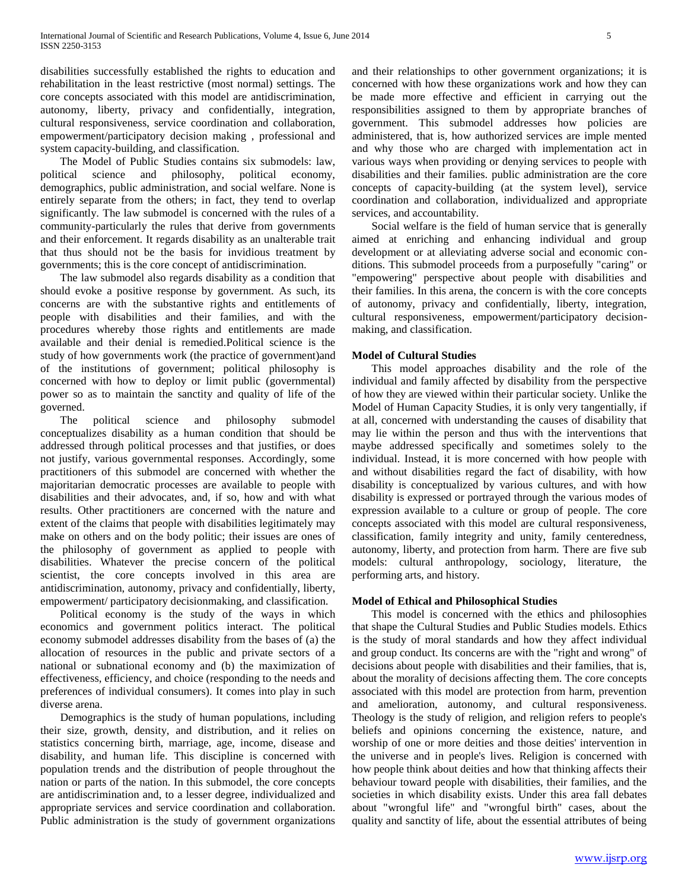disabilities successfully established the rights to education and rehabilitation in the least restrictive (most normal) settings. The core concepts associated with this model are antidiscrimination, autonomy, liberty, privacy and confidentially, integration, cultural responsiveness, service coordination and collaboration, empowerment/participatory decision making , professional and system capacity-building, and classification.

 The Model of Public Studies contains six submodels: law, political science and philosophy, political economy, demographics, public administration, and social welfare. None is entirely separate from the others; in fact, they tend to overlap significantly. The law submodel is concerned with the rules of a community-particularly the rules that derive from governments and their enforcement. It regards disability as an unalterable trait that thus should not be the basis for invidious treatment by governments; this is the core concept of antidiscrimination.

 The law submodel also regards disability as a condition that should evoke a positive response by government. As such, its concerns are with the substantive rights and entitlements of people with disabilities and their families, and with the procedures whereby those rights and entitlements are made available and their denial is remedied.Political science is the study of how governments work (the practice of government)and of the institutions of government; political philosophy is concerned with how to deploy or limit public (governmental) power so as to maintain the sanctity and quality of life of the governed.

 The political science and philosophy submodel conceptualizes disability as a human condition that should be addressed through political processes and that justifies, or does not justify, various governmental responses. Accordingly, some practitioners of this submodel are concerned with whether the majoritarian democratic processes are available to people with disabilities and their advocates, and, if so, how and with what results. Other practitioners are concerned with the nature and extent of the claims that people with disabilities legitimately may make on others and on the body politic; their issues are ones of the philosophy of government as applied to people with disabilities. Whatever the precise concern of the political scientist, the core concepts involved in this area are antidiscrimination, autonomy, privacy and confidentially, liberty, empowerment/ participatory decisionmaking, and classification.

 Political economy is the study of the ways in which economics and government politics interact. The political economy submodel addresses disability from the bases of (a) the allocation of resources in the public and private sectors of a national or subnational economy and (b) the maximization of effectiveness, efficiency, and choice (responding to the needs and preferences of individual consumers). It comes into play in such diverse arena.

 Demographics is the study of human populations, including their size, growth, density, and distribution, and it relies on statistics concerning birth, marriage, age, income, disease and disability, and human life. This discipline is concerned with population trends and the distribution of people throughout the nation or parts of the nation. In this submodel, the core concepts are antidiscrimination and, to a lesser degree, individualized and appropriate services and service coordination and collaboration. Public administration is the study of government organizations

and their relationships to other government organizations; it is concerned with how these organizations work and how they can be made more effective and efficient in carrying out the responsibilities assigned to them by appropriate branches of government. This submodel addresses how policies are administered, that is, how authorized services are imple mented and why those who are charged with implementation act in various ways when providing or denying services to people with disabilities and their families. public administration are the core concepts of capacity-building (at the system level), service coordination and collaboration, individualized and appropriate services, and accountability.

 Social welfare is the field of human service that is generally aimed at enriching and enhancing individual and group development or at alleviating adverse social and economic conditions. This submodel proceeds from a purposefully "caring" or "empowering" perspective about people with disabilities and their families. In this arena, the concern is with the core concepts of autonomy, privacy and confidentially, liberty, integration, cultural responsiveness, empowerment/participatory decisionmaking, and classification.

# **Model of Cultural Studies**

 This model approaches disability and the role of the individual and family affected by disability from the perspective of how they are viewed within their particular society. Unlike the Model of Human Capacity Studies, it is only very tangentially, if at all, concerned with understanding the causes of disability that may lie within the person and thus with the interventions that maybe addressed specifically and sometimes solely to the individual. Instead, it is more concerned with how people with and without disabilities regard the fact of disability, with how disability is conceptualized by various cultures, and with how disability is expressed or portrayed through the various modes of expression available to a culture or group of people. The core concepts associated with this model are cultural responsiveness, classification, family integrity and unity, family centeredness, autonomy, liberty, and protection from harm. There are five sub models: cultural anthropology, sociology, literature, the performing arts, and history.

# **Model of Ethical and Philosophical Studies**

 This model is concerned with the ethics and philosophies that shape the Cultural Studies and Public Studies models. Ethics is the study of moral standards and how they affect individual and group conduct. Its concerns are with the "right and wrong" of decisions about people with disabilities and their families, that is, about the morality of decisions affecting them. The core concepts associated with this model are protection from harm, prevention and amelioration, autonomy, and cultural responsiveness. Theology is the study of religion, and religion refers to people's beliefs and opinions concerning the existence, nature, and worship of one or more deities and those deities' intervention in the universe and in people's lives. Religion is concerned with how people think about deities and how that thinking affects their behaviour toward people with disabilities, their families, and the societies in which disability exists. Under this area fall debates about "wrongful life" and "wrongful birth" cases, about the quality and sanctity of life, about the essential attributes of being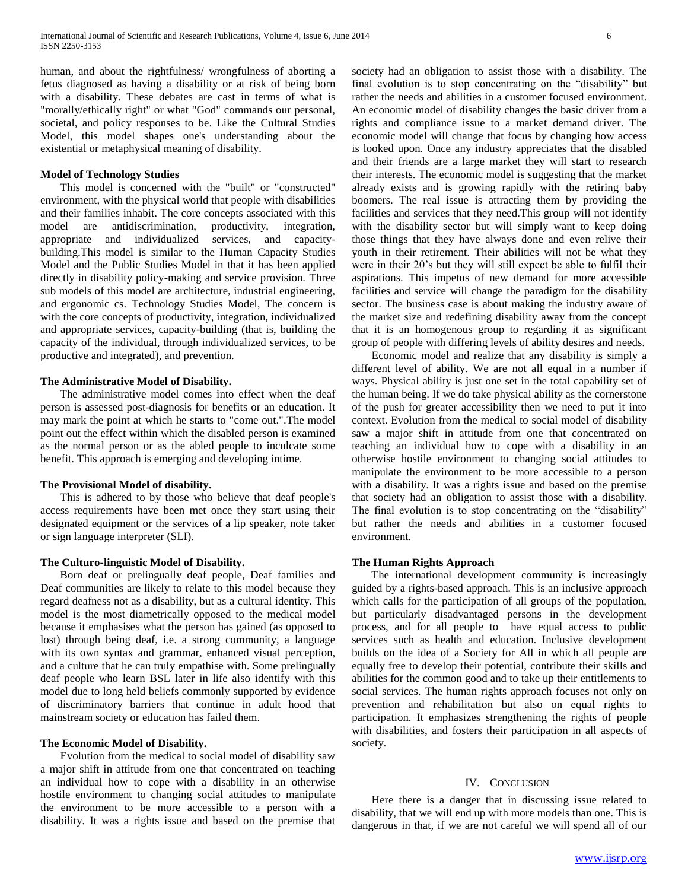human, and about the rightfulness/ wrongfulness of aborting a fetus diagnosed as having a disability or at risk of being born with a disability. These debates are cast in terms of what is "morally/ethically right" or what "God" commands our personal, societal, and policy responses to be. Like the Cultural Studies Model, this model shapes one's understanding about the existential or metaphysical meaning of disability.

#### **Model of Technology Studies**

 This model is concerned with the "built" or "constructed" environment, with the physical world that people with disabilities and their families inhabit. The core concepts associated with this model are antidiscrimination, productivity, integration, appropriate and individualized services, and capacitybuilding.This model is similar to the Human Capacity Studies Model and the Public Studies Model in that it has been applied directly in disability policy-making and service provision. Three sub models of this model are architecture, industrial engineering, and ergonomic cs. Technology Studies Model, The concern is with the core concepts of productivity, integration, individualized and appropriate services, capacity-building (that is, building the capacity of the individual, through individualized services, to be productive and integrated), and prevention.

#### **The Administrative Model of Disability.**

 The administrative model comes into effect when the deaf person is assessed post-diagnosis for benefits or an education. It may mark the point at which he starts to "come out.".The model point out the effect within which the disabled person is examined as the normal person or as the abled people to inculcate some benefit. This approach is emerging and developing intime.

#### **The Provisional Model of disability.**

 This is adhered to by those who believe that deaf people's access requirements have been met once they start using their designated equipment or the services of a lip speaker, note taker or sign language interpreter (SLI).

#### **The Culturo-linguistic Model of Disability.**

 Born deaf or prelingually deaf people, Deaf families and Deaf communities are likely to relate to this model because they regard deafness not as a disability, but as a cultural identity. This model is the most diametrically opposed to the medical model because it emphasises what the person has gained (as opposed to lost) through being deaf, i.e. a strong community, a language with its own syntax and grammar, enhanced visual perception, and a culture that he can truly empathise with. Some prelingually deaf people who learn BSL later in life also identify with this model due to long held beliefs commonly supported by evidence of discriminatory barriers that continue in adult hood that mainstream society or education has failed them.

#### **The Economic Model of Disability.**

 Evolution from the medical to social model of disability saw a major shift in attitude from one that concentrated on teaching an individual how to cope with a disability in an otherwise hostile environment to changing social attitudes to manipulate the environment to be more accessible to a person with a disability. It was a rights issue and based on the premise that society had an obligation to assist those with a disability. The final evolution is to stop concentrating on the "disability" but rather the needs and abilities in a customer focused environment. An economic model of disability changes the basic driver from a rights and compliance issue to a market demand driver. The economic model will change that focus by changing how access is looked upon. Once any industry appreciates that the disabled and their friends are a large market they will start to research their interests. The economic model is suggesting that the market already exists and is growing rapidly with the retiring baby boomers. The real issue is attracting them by providing the facilities and services that they need.This group will not identify with the disability sector but will simply want to keep doing those things that they have always done and even relive their youth in their retirement. Their abilities will not be what they were in their 20's but they will still expect be able to fulfil their aspirations. This impetus of new demand for more accessible facilities and service will change the paradigm for the disability sector. The business case is about making the industry aware of the market size and redefining disability away from the concept that it is an homogenous group to regarding it as significant group of people with differing levels of ability desires and needs.

 Economic model and realize that any disability is simply a different level of ability. We are not all equal in a number if ways. Physical ability is just one set in the total capability set of the human being. If we do take physical ability as the cornerstone of the push for greater accessibility then we need to put it into context. Evolution from the medical to social model of disability saw a major shift in attitude from one that concentrated on teaching an individual how to cope with a disability in an otherwise hostile environment to changing social attitudes to manipulate the environment to be more accessible to a person with a disability. It was a rights issue and based on the premise that society had an obligation to assist those with a disability. The final evolution is to stop concentrating on the "disability" but rather the needs and abilities in a customer focused environment.

# **The Human Rights Approach**

 The international development community is increasingly guided by a rights-based approach. This is an inclusive approach which calls for the participation of all groups of the population, but particularly disadvantaged persons in the development process, and for all people to have equal access to public services such as health and education. Inclusive development builds on the idea of a Society for All in which all people are equally free to develop their potential, contribute their skills and abilities for the common good and to take up their entitlements to social services. The human rights approach focuses not only on prevention and rehabilitation but also on equal rights to participation. It emphasizes strengthening the rights of people with disabilities, and fosters their participation in all aspects of society.

#### IV. CONCLUSION

 Here there is a danger that in discussing issue related to disability, that we will end up with more models than one. This is dangerous in that, if we are not careful we will spend all of our